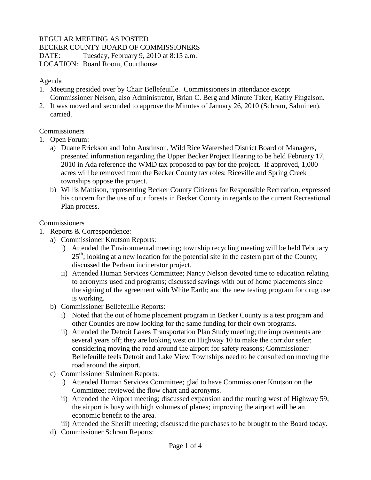## REGULAR MEETING AS POSTED

BECKER COUNTY BOARD OF COMMISSIONERS

DATE: Tuesday, February 9, 2010 at 8:15 a.m.

LOCATION: Board Room, Courthouse

## Agenda

- 1. Meeting presided over by Chair Bellefeuille. Commissioners in attendance except Commissioner Nelson, also Administrator, Brian C. Berg and Minute Taker, Kathy Fingalson.
- 2. It was moved and seconded to approve the Minutes of January 26, 2010 (Schram, Salminen), carried.

## Commissioners

- 1. Open Forum:
	- a) Duane Erickson and John Austinson, Wild Rice Watershed District Board of Managers, presented information regarding the Upper Becker Project Hearing to be held February 17, 2010 in Ada reference the WMD tax proposed to pay for the project. If approved, 1,000 acres will be removed from the Becker County tax roles; Riceville and Spring Creek townships oppose the project.
	- b) Willis Mattison, representing Becker County Citizens for Responsible Recreation, expressed his concern for the use of our forests in Becker County in regards to the current Recreational Plan process.

## **Commissioners**

- 1. Reports & Correspondence:
	- a) Commissioner Knutson Reports:
		- i) Attended the Environmental meeting; township recycling meeting will be held February  $25<sup>th</sup>$ ; looking at a new location for the potential site in the eastern part of the County; discussed the Perham incinerator project.
		- ii) Attended Human Services Committee; Nancy Nelson devoted time to education relating to acronyms used and programs; discussed savings with out of home placements since the signing of the agreement with White Earth; and the new testing program for drug use is working.
	- b) Commissioner Bellefeuille Reports:
		- i) Noted that the out of home placement program in Becker County is a test program and other Counties are now looking for the same funding for their own programs.
		- ii) Attended the Detroit Lakes Transportation Plan Study meeting; the improvements are several years off; they are looking west on Highway 10 to make the corridor safer; considering moving the road around the airport for safety reasons; Commissioner Bellefeuille feels Detroit and Lake View Townships need to be consulted on moving the road around the airport.
	- c) Commissioner Salminen Reports:
		- i) Attended Human Services Committee; glad to have Commissioner Knutson on the Committee; reviewed the flow chart and acronyms.
		- ii) Attended the Airport meeting; discussed expansion and the routing west of Highway 59; the airport is busy with high volumes of planes; improving the airport will be an economic benefit to the area.
		- iii) Attended the Sheriff meeting; discussed the purchases to be brought to the Board today.
	- d) Commissioner Schram Reports: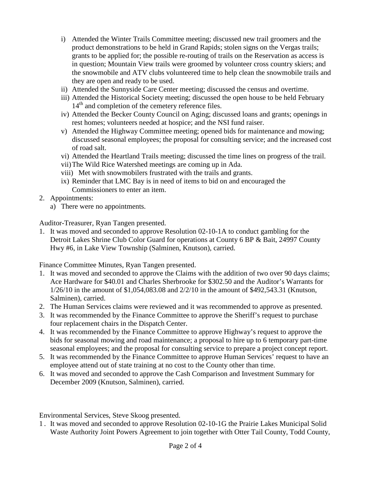- i) Attended the Winter Trails Committee meeting; discussed new trail groomers and the product demonstrations to be held in Grand Rapids; stolen signs on the Vergas trails; grants to be applied for; the possible re-routing of trails on the Reservation as access is in question; Mountain View trails were groomed by volunteer cross country skiers; and the snowmobile and ATV clubs volunteered time to help clean the snowmobile trails and they are open and ready to be used.
- ii) Attended the Sunnyside Care Center meeting; discussed the census and overtime.
- iii) Attended the Historical Society meeting; discussed the open house to be held February  $14<sup>th</sup>$  and completion of the cemetery reference files.
- iv) Attended the Becker County Council on Aging; discussed loans and grants; openings in rest homes; volunteers needed at hospice; and the NSI fund raiser.
- v) Attended the Highway Committee meeting; opened bids for maintenance and mowing; discussed seasonal employees; the proposal for consulting service; and the increased cost of road salt.
- vi) Attended the Heartland Trails meeting; discussed the time lines on progress of the trail.
- vii)The Wild Rice Watershed meetings are coming up in Ada.
- viii) Met with snowmobilers frustrated with the trails and grants.
- ix) Reminder that LMC Bay is in need of items to bid on and encouraged the Commissioners to enter an item.
- 2. Appointments:
	- a) There were no appointments.

Auditor-Treasurer, Ryan Tangen presented.

1. It was moved and seconded to approve Resolution 02-10-1A to conduct gambling for the Detroit Lakes Shrine Club Color Guard for operations at County 6 BP & Bait, 24997 County Hwy #6, in Lake View Township (Salminen, Knutson), carried.

Finance Committee Minutes, Ryan Tangen presented.

- 1. It was moved and seconded to approve the Claims with the addition of two over 90 days claims; Ace Hardware for \$40.01 and Charles Sherbrooke for \$302.50 and the Auditor's Warrants for 1/26/10 in the amount of \$1,054,083.08 and 2/2/10 in the amount of \$492,543.31 (Knutson, Salminen), carried.
- 2. The Human Services claims were reviewed and it was recommended to approve as presented.
- 3. It was recommended by the Finance Committee to approve the Sheriff's request to purchase four replacement chairs in the Dispatch Center.
- 4. It was recommended by the Finance Committee to approve Highway's request to approve the bids for seasonal mowing and road maintenance; a proposal to hire up to 6 temporary part-time seasonal employees; and the proposal for consulting service to prepare a project concept report.
- 5. It was recommended by the Finance Committee to approve Human Services' request to have an employee attend out of state training at no cost to the County other than time.
- 6. It was moved and seconded to approve the Cash Comparison and Investment Summary for December 2009 (Knutson, Salminen), carried.

Environmental Services, Steve Skoog presented.

1 . It was moved and seconded to approve Resolution 02-10-1G the Prairie Lakes Municipal Solid Waste Authority Joint Powers Agreement to join together with Otter Tail County, Todd County,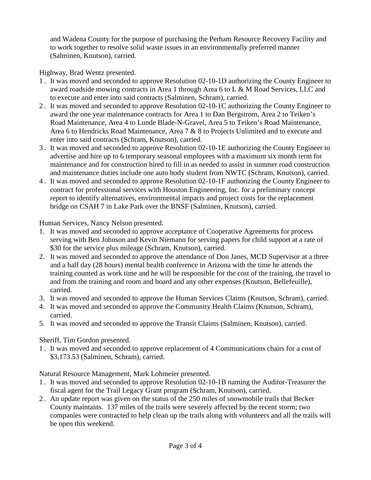and Wadena County for the purpose of purchasing the Perham Resource Recovery Facility and to work together to resolve solid waste issues in an environmentally preferred manner (Salminen, Knutson), carried.

Highway, Brad Wentz presented.

- 1 . It was moved and seconded to approve Resolution 02-10-1D authorizing the County Engineer to award roadside mowing contracts in Area 1 through Area 6 to L & M Road Services, LLC and to execute and enter into said contracts (Salminen, Schram), carried.
- 2 . It was moved and seconded to approve Resolution 02-10-1C authorizing the County Engineer to award the one year maintenance contracts for Area 1 to Dan Bergstrom, Area 2 to Teiken's Road Maintenance, Area 4 to Lunde Blade-N-Gravel, Area 5 to Teiken's Road Maintenance, Area 6 to Hendricks Road Maintenance, Area 7 & 8 to Projects Unlimited and to execute and enter into said contracts (Schram, Knutson), carried.
- 3 . It was moved and seconded to approve Resolution 02-10-1E authorizing the County Engineer to advertise and hire up to 6 temporary seasonal employees with a maximum six month term for maintenance and for construction hired to fill in as needed to assist in summer road construction and maintenance duties include one auto body student from NWTC (Schram, Knutson), carried.
- 4 . It was moved and seconded to approve Resolution 02-10-1F authorizing the County Engineer to contract for professional services with Houston Engineering, Inc. for a preliminary concept report to identify alternatives, environmental impacts and project costs for the replacement bridge on CSAH 7 in Lake Park over the BNSF (Salminen, Knutson), carried.

Human Services, Nancy Nelson presented.

- 1. It was moved and seconded to approve acceptance of Cooperative Agreements for process serving with Ben Johnson and Kevin Niemann for serving papers for child support at a rate of \$30 for the service plus mileage (Schram, Knutson), carried.
- 2. It was moved and seconded to approve the attendance of Don Janes, MCD Supervisor at a three and a half day (28 hours) mental health conference in Arizona with the time he attends the training counted as work time and he will be responsible for the cost of the training, the travel to and from the training and room and board and any other expenses (Knutson, Bellefeuille), carried.
- 3. It was moved and seconded to approve the Human Services Claims (Knutson, Schram), carried.
- 4. It was moved and seconded to approve the Community Health Claims (Knutson, Schram), carried.
- 5. It was moved and seconded to approve the Transit Claims (Salminen, Knutson), carried.

Sheriff, Tim Gordon presented.

1 . It was moved and seconded to approve replacement of 4 Communications chairs for a cost of \$3,173.53 (Salminen, Schram), carried.

Natural Resource Management, Mark Lohmeier presented.

- 1 . It was moved and seconded to approve Resolution 02-10-1B naming the Auditor-Treasurer the fiscal agent for the Trail Legacy Grant program (Schram, Knutson), carried.
- 2 . An update report was given on the status of the 250 miles of snowmobile trails that Becker County maintains. 137 miles of the trails were severely affected by the recent storm; two companies were contracted to help clean up the trails along with volunteers and all the trails will be open this weekend.